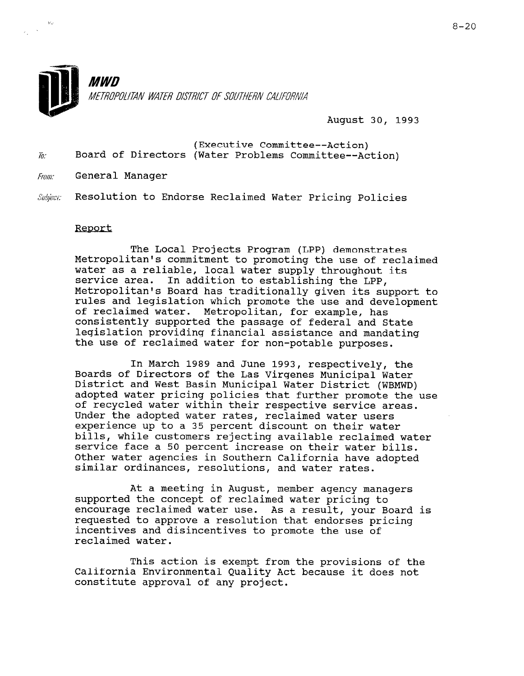

August 30, 1993

- (Executive Committee--Action) Board of Directors (Water Problems Committee--Action)  $\overline{h}$ .
- From: General Manager
- Resolution to Endorse Reclaimed Water Pricing Policies Subject:

## Report

The Local Projects Program (LPP) demonstrates Metropolitan's commitment to promoting the use of reclaimed water as a reliable, local water supply throughout its service area. In addition to establishing the LPP, Metropolitan's Board has traditionally given its support to rules and legislation which promote the use and development of reclaimed water. Metropolitan, for example, has consistently supported the passage of federal and State legislation providing financial assistance and mandating the use of reclaimed water for non-potable purposes.

In March 1989 and June 1993, respectively, the Boards of Directors of the Las Virgenes Municipal Water District and West Basin Municipal Water District (WBMWD) adopted water pricing policies that further promote the use of recycled water within their respective service areas. Under the adopted water rates, reclaimed water users experience up to a 35 percent discount on their water bills, while customers rejecting available reclaimed water service face a 50 percent increase on their water bills. Other water agencies in Southern California have adopted similar ordinances, resolutions, and water rates.

At a meeting in August, member agency managers supported the concept of reclaimed water pricing to encourage reclaimed water use. As a result, your Board is requested to approve a resolution that endorses pricing incentives and disincentives to promote the use of reclaimed water.

This action is exempt from the provisions of the California Environmental Quality Act because it does not california mnvironmental Quality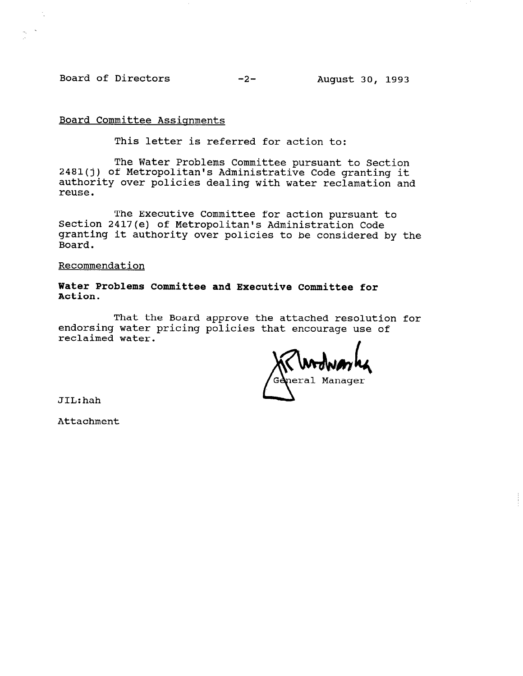Board of Directors -2- August 30, 1993

## Board Committee Assignments

This letter is referred for action to:

The Water Problems Committee pursuant to Section 2481(j) of Metropolitan's Administrative Code granting it authority over policies dealing with water reclamation and reuse.

The Executive Committee for action pursuant to Section 2417(e) of Metropolitan's Administration Code granting it authority over policies to be considered by the Board.

Recommendation

Water Problems Committee and Executive Committee for Action.

That the Board approve the attached resolution for endorsing water pricing policies that encourage use of reclaimed water.

neral Manager

JIL:hah

Attachment